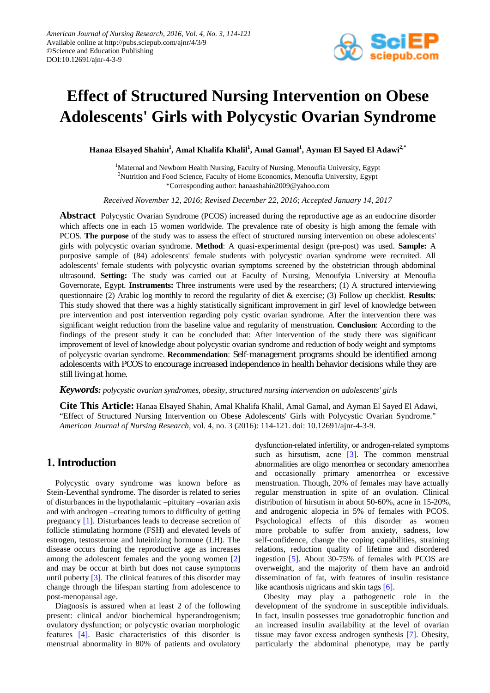

# **Effect of Structured Nursing Intervention on Obese Adolescents' Girls with Polycystic Ovarian Syndrome**

 $\boldsymbol{\mathrm{H}}$ anaa Elsayed Shahin<sup>1</sup>, Amal Khalifa Khalil<sup>1</sup>, Amal Gamal<sup>1</sup>, Ayman El Sayed El Adawi<sup>2,\*</sup>

<sup>1</sup>Maternal and Newborn Health Nursing, Faculty of Nursing, Menoufia University, Egypt <sup>2</sup>Nutrition and Food Science, Faculty of Home Economics, Menoufia University, Egypt \*Corresponding author: hanaashahin2009@yahoo.com

*Received November 12, 2016; Revised December 22, 2016; Accepted January 14, 2017*

**Abstract** Polycystic Ovarian Syndrome (PCOS) increased during the reproductive age as an endocrine disorder which affects one in each 15 women worldwide. The prevalence rate of obesity is high among the female with PCOS. **The purpose** of the study was to assess the effect of structured nursing intervention on obese adolescents' girls with polycystic ovarian syndrome. **Method**: A quasi-experimental design (pre-post) was used. **Sample:** A purposive sample of (84) adolescents' female students with polycystic ovarian syndrome were recruited. All adolescents' female students with polycystic ovarian symptoms screened by the obstetrician through abdominal ultrasound. **Setting:** The study was carried out at Faculty of Nursing, Menoufyia University at Menoufia Governorate, Egypt. **Instruments:** Three instruments were used by the researchers; (1) A structured interviewing questionnaire (2) Arabic log monthly to record the regularity of diet & exercise; (3) Follow up checklist. **Results**: This study showed that there was a highly statistically significant improvement in girl' level of knowledge between pre intervention and post intervention regarding poly cystic ovarian syndrome. After the intervention there was significant weight reduction from the baseline value and regularity of menstruation. **Conclusion**: According to the findings of the present study it can be concluded that: After intervention of the study there was significant improvement of level of knowledge about polycystic ovarian syndrome and reduction of body weight and symptoms of polycystic ovarian syndrome. **Recommendation**: Self-management programs should be identified among adolescents with PCOS to encourage increased independence in health behavior decisions while they are still living at home.

#### *Keywords: polycystic ovarian syndromes, obesity, structured nursing intervention on adolescents' girls*

**Cite This Article:** Hanaa Elsayed Shahin, Amal Khalifa Khalil, Amal Gamal, and Ayman El Sayed El Adawi, "Effect of Structured Nursing Intervention on Obese Adolescents' Girls with Polycystic Ovarian Syndrome." *American Journal of Nursing Research*, vol. 4, no. 3 (2016): 114-121. doi: 10.12691/ajnr-4-3-9.

# **1. Introduction**

Polycystic ovary syndrome was known before as Stein-Leventhal syndrome. The disorder is related to series of disturbances in the hypothalamic –pituitary –ovarian axis and with androgen –creating tumors to difficulty of getting pregnancy [\[1\].](#page-6-0) Disturbances leads to decrease secretion of follicle stimulating hormone (FSH) and elevated levels of estrogen, testosterone and luteinizing hormone (LH). The disease occurs during the reproductive age as increases among the adolescent females and the young women [\[2\]](#page-6-1) and may be occur at birth but does not cause symptoms until puberty [\[3\].](#page-6-2) The clinical features of this disorder may change through the lifespan starting from adolescence to post-menopausal age.

Diagnosis is assured when at least 2 of the following present: clinical and/or biochemical hyperandrogenism; ovulatory dysfunction; or polycystic ovarian morphologic features [\[4\].](#page-6-3) Basic characteristics of this disorder is menstrual abnormality in 80% of patients and ovulatory dysfunction-related infertility, or androgen-related symptoms such as hirsutism, acne  $\lceil 3 \rceil$ . The common menstrual abnormalities are oligo menorrhea or secondary amenorrhea and occasionally primary amenorrhea or excessive menstruation. Though, 20% of females may have actually regular menstruation in spite of an ovulation. Clinical distribution of hirsutism in about 50-60%, acne in 15-20%, and androgenic alopecia in 5% of females with PCOS. Psychological effects of this disorder as women more probable to suffer from anxiety, sadness, low self-confidence, change the coping capabilities, straining relations, reduction quality of lifetime and disordered ingestion [\[5\].](#page-6-4) About 30-75% of females with PCOS are overweight, and the majority of them have an android dissemination of fat, with features of insulin resistance like acanthosis nigricans and skin tag[s \[6\].](#page-6-5)

Obesity may play a pathogenetic role in the development of the syndrome in susceptible individuals. In fact, insulin possesses true gonadotrophic function and an increased insulin availability at the level of ovarian tissue may favor excess androgen synthesis [\[7\].](#page-6-6) Obesity, particularly the abdominal phenotype, may be partly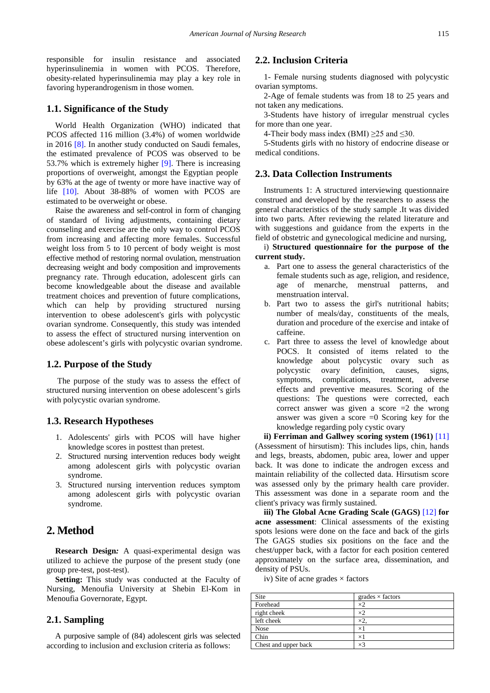responsible for insulin resistance and associated hyperinsulinemia in women with PCOS. Therefore, obesity-related hyperinsulinemia may play a key role in favoring hyperandrogenism in those women.

## **1.1. Significance of the Study**

World Health Organization (WHO) indicated that PCOS affected 116 million (3.4%) of women worldwide in 2016 [\[8\].](#page-6-7) In another study conducted on Saudi females, the estimated prevalence of PCOS was observed to be 53.7% which is extremely higher [\[9\].](#page-6-8) There is increasing proportions of overweight, amongst the Egyptian people by 63% at the age of twenty or more have inactive way of life [\[10\].](#page-6-9) About 38-88% of women with PCOS are estimated to be overweight or obese.

Raise the awareness and self-control in form of changing of standard of living adjustments, containing dietary counseling and exercise are the only way to control PCOS from increasing and affecting more females. Successful weight loss from 5 to 10 percent of body weight is most effective method of restoring normal ovulation, menstruation decreasing weight and body composition and improvements pregnancy rate. Through education, adolescent girls can become knowledgeable about the disease and available treatment choices and prevention of future complications, which can help by providing structured nursing intervention to obese adolescent's girls with polycystic ovarian syndrome. Consequently, this study was intended to assess the effect of structured nursing intervention on obese adolescent's girls with polycystic ovarian syndrome.

## **1.2. Purpose of the Study**

The purpose of the study was to assess the effect of structured nursing intervention on obese adolescent's girls with polycystic ovarian syndrome.

#### **1.3. Research Hypotheses**

- 1. Adolescents' girls with PCOS will have higher knowledge scores in posttest than pretest.
- 2. Structured nursing intervention reduces body weight among adolescent girls with polycystic ovarian syndrome.
- 3. Structured nursing intervention reduces symptom among adolescent girls with polycystic ovarian syndrome.

## **2. Method**

**Research Design***:* A quasi-experimental design was utilized to achieve the purpose of the present study (one group pre-test, post-test).

**Setting:** This study was conducted at the Faculty of Nursing, Menoufia University at Shebin El-Kom in Menoufia Governorate, Egypt.

## **2.1. Sampling**

A purposive sample of (84) adolescent girls was selected according to inclusion and exclusion criteria as follows:

## **2.2. Inclusion Criteria**

1- Female nursing students diagnosed with polycystic ovarian symptoms.

2-Age of female students was from 18 to 25 years and not taken any medications.

3-Students have history of irregular menstrual cycles for more than one year.

4-Their body mass index (BMI)  $\geq$  25 and  $\leq$  30.

5-Students girls with no history of endocrine disease or medical conditions.

#### **2.3. Data Collection Instruments**

Instruments 1: A structured interviewing questionnaire construed and developed by the researchers to assess the general characteristics of the study sample .It was divided into two parts. After reviewing the related literature and with suggestions and guidance from the experts in the field of obstetric and gynecological medicine and nursing,

#### i) **Structured questionnaire for the purpose of the current study.**

- a. Part one to assess the general characteristics of the female students such as age, religion, and residence, age of menarche, menstrual patterns, and menstruation interval.
- b. Part two to assess the girl's nutritional habits; number of meals/day, constituents of the meals, duration and procedure of the exercise and intake of caffeine.
- c. Part three to assess the level of knowledge about POCS. It consisted of items related to the knowledge about polycystic ovary such as<br>polycystic ovary definition, causes, signs, polycystic ovary definition, symptoms, complications, treatment, adverse effects and preventive measures. Scoring of the questions: The questions were corrected, each correct answer was given a score  $=2$  the wrong answer was given a score  $=0$  Scoring key for the knowledge regarding poly cystic ovary

**ii) Ferriman and Gallwey scoring system (1961)** [\[11\]](#page-6-10) (Assessment of hirsutism): This includes lips, chin, hands and legs, breasts, abdomen, pubic area, lower and upper back. It was done to indicate the androgen excess and maintain reliability of the collected data. Hirsutism score was assessed only by the primary health care provider. This assessment was done in a separate room and the client's privacy was firmly sustained.

**iii) The Global Acne Grading Scale (GAGS)** [\[12\]](#page-6-11) **for acne assessment**: Clinical assessments of the existing spots lesions were done on the face and back of the girls The GAGS studies six positions on the face and the chest/upper back, with a factor for each position centered approximately on the surface area, dissemination, and density of PSUs.

iv) Site of acne grades  $\times$  factors

| Site                 | grades $\times$ factors |
|----------------------|-------------------------|
| Forehead             | $\times$                |
| right cheek          | ×2                      |
| left cheek           |                         |
| <b>Nose</b>          | $\times$ 1              |
| Chin                 | $\times$                |
| Chest and upper back | ×٩                      |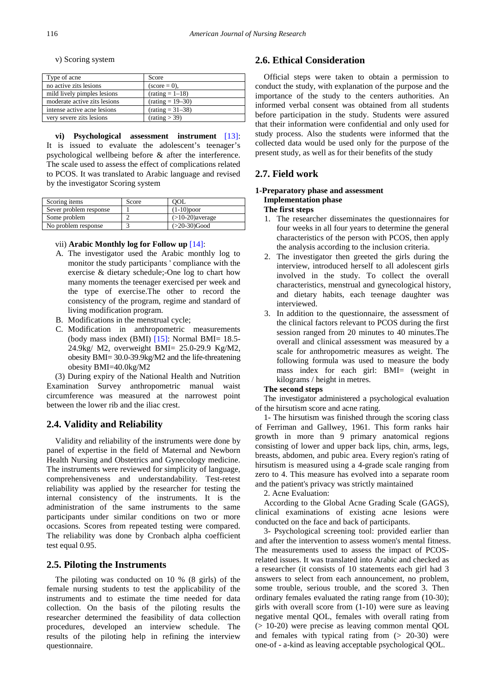v) Scoring system

| Type of acne                 | Score                  |
|------------------------------|------------------------|
| no active zits lesions       | $(\text{score} = 0)$ , |
| mild lively pimples lesions  | $(rating = 1-18)$      |
| moderate active zits lesions | $(rating = 19 - 30)$   |
| intense active acne lesions  | $(rating = 31 - 38)$   |
| very severe zits lesions     | (rating > 39)          |

**vi) Psychological assessment instrument** [\[13\]:](#page-6-12) It is issued to evaluate the adolescent's teenager's psychological wellbeing before & after the interference. The scale used to assess the effect of complications related to PCOS. It was translated to Arabic language and revised by the investigator Scoring system

| Scoring items          | Score | <b>OOL</b>         |  |  |
|------------------------|-------|--------------------|--|--|
| Sever problem response |       | $(1-10)$ poor      |  |  |
| Some problem           |       | $(>10-20)$ average |  |  |
| No problem response    |       | $(>20-30)Good$     |  |  |

#### vii) **Arabic Monthly log for Follow up** [\[14\]:](#page-6-13)

- A. The investigator used the Arabic monthly log to monitor the study participants ' compliance with the exercise & dietary schedule;-One log to chart how many moments the teenager exercised per week and the type of exercise.The other to record the consistency of the program, regime and standard of living modification program.
- B. Modifications in the menstrual cycle;
- C. Modification in anthropometric measurements (body mass index (BMI) [\[15\]:](#page-6-14) Normal BMI= 18.5- 24.9kg/ M2, overweight BMI= 25.0-29.9 Kg/M2, obesity BMI= 30.0-39.9kg/M2 and the life-threatening obesity BMI=40.0kg/M2

(3) During expiry of the National Health and Nutrition Examination Survey anthropometric manual waist circumference was measured at the narrowest point between the lower rib and the iliac crest.

## **2.4. Validity and Reliability**

Validity and reliability of the instruments were done by panel of expertise in the field of Maternal and Newborn Health Nursing and Obstetrics and Gynecology medicine. The instruments were reviewed for simplicity of language, comprehensiveness and understandability. Test-retest reliability was applied by the researcher for testing the internal consistency of the instruments. It is the administration of the same instruments to the same participants under similar conditions on two or more occasions. Scores from repeated testing were compared. The reliability was done by Cronbach alpha coefficient test equal 0.95.

#### **2.5. Piloting the Instruments**

The piloting was conducted on 10 % (8 girls) of the female nursing students to test the applicability of the instruments and to estimate the time needed for data collection. On the basis of the piloting results the researcher determined the feasibility of data collection procedures, developed an interview schedule. The results of the piloting help in refining the interview questionnaire.

## **2.6. Ethical Consideration**

Official steps were taken to obtain a permission to conduct the study, with explanation of the purpose and the importance of the study to the centers authorities. An informed verbal consent was obtained from all students before participation in the study. Students were assured that their information were confidential and only used for study process. Also the students were informed that the collected data would be used only for the purpose of the present study, as well as for their benefits of the study

## **2.7. Field work**

#### **1-Preparatory phase and assessment Implementation phase The first steps**

- 1. The researcher disseminates the questionnaires for four weeks in all four years to determine the general characteristics of the person with PCOS, then apply the analysis according to the inclusion criteria.
- 2. The investigator then greeted the girls during the interview, introduced herself to all adolescent girls involved in the study. To collect the overall characteristics, menstrual and gynecological history, and dietary habits, each teenage daughter was interviewed.
- 3. In addition to the questionnaire, the assessment of the clinical factors relevant to PCOS during the first session ranged from 20 minutes to 40 minutes.The overall and clinical assessment was measured by a scale for anthropometric measures as weight. The following formula was used to measure the body mass index for each girl: BMI= (weight in kilograms / height in metres.

#### **The second steps**

The investigator administered a psychological evaluation of the hirsutism score and acne rating.

1- The hirsutism was finished through the scoring class of Ferriman and Gallwey, 1961. This form ranks hair growth in more than 9 primary anatomical regions consisting of lower and upper back lips, chin, arms, legs, breasts, abdomen, and pubic area. Every region's rating of hirsutism is measured using a 4-grade scale ranging from zero to 4. This measure has evolved into a separate room and the patient's privacy was strictly maintained

2. Acne Evaluation:

According to the Global Acne Grading Scale (GAGS), clinical examinations of existing acne lesions were conducted on the face and back of participants.

3- Psychological screening tool: provided earlier than and after the intervention to assess women's mental fitness. The measurements used to assess the impact of PCOSrelated issues. It was translated into Arabic and checked as a researcher (it consists of 10 statements each girl had 3 answers to select from each announcement, no problem, some trouble, serious trouble, and the scored 3. Then ordinary females evaluated the rating range from (10-30); girls with overall score from (1-10) were sure as leaving negative mental QOL, females with overall rating from (> 10-20) were precise as leaving common mental QOL and females with typical rating from  $(> 20-30)$  were one-of - a-kind as leaving acceptable psychological QOL.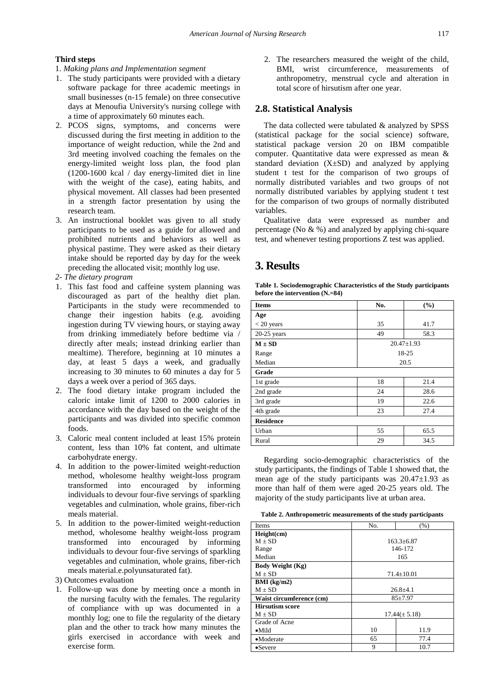#### **Third steps**

- 1. *Making plans and Implementation segment*
- 1. The study participants were provided with a dietary software package for three academic meetings in small businesses (n-15 female) on three consecutive days at Menoufia University's nursing college with a time of approximately 60 minutes each.
- 2. PCOS signs, symptoms, and concerns were discussed during the first meeting in addition to the importance of weight reduction, while the 2nd and 3rd meeting involved coaching the females on the energy-limited weight loss plan, the food plan (1200-1600 kcal / day energy-limited diet in line with the weight of the case), eating habits, and physical movement. All classes had been presented in a strength factor presentation by using the research team.
- 3. An instructional booklet was given to all study participants to be used as a guide for allowed and prohibited nutrients and behaviors as well as physical pastime. They were asked as their dietary intake should be reported day by day for the week preceding the allocated visit; monthly log use.
- *2- The dietary program*
- 1. This fast food and caffeine system planning was discouraged as part of the healthy diet plan. Participants in the study were recommended to change their ingestion habits (e.g. avoiding ingestion during TV viewing hours, or staying away from drinking immediately before bedtime via / directly after meals; instead drinking earlier than mealtime). Therefore, beginning at 10 minutes a day, at least 5 days a week, and gradually increasing to 30 minutes to 60 minutes a day for 5 days a week over a period of 365 days.
- 2. The food dietary intake program included the caloric intake limit of 1200 to 2000 calories in accordance with the day based on the weight of the participants and was divided into specific common foods.
- 3. Caloric meal content included at least 15% protein content, less than 10% fat content, and ultimate carbohydrate energy.
- 4. In addition to the power-limited weight-reduction method, wholesome healthy weight-loss program transformed into encouraged by informing individuals to devour four-five servings of sparkling vegetables and culmination, whole grains, fiber-rich meals material.
- 5. In addition to the power-limited weight-reduction method, wholesome healthy weight-loss program transformed into encouraged by informing individuals to devour four-five servings of sparkling vegetables and culmination, whole grains, fiber-rich meals material.e.polyunsaturated fat).
- 3) Outcomes evaluation
- 1. Follow-up was done by meeting once a month in the nursing faculty with the females. The regularity of compliance with up was documented in a monthly log; one to file the regularity of the dietary plan and the other to track how many minutes the girls exercised in accordance with week and exercise form.

2. The researchers measured the weight of the child, BMI, wrist circumference, measurements of anthropometry, menstrual cycle and alteration in total score of hirsutism after one year.

#### **2.8. Statistical Analysis**

The data collected were tabulated & analyzed by SPSS (statistical package for the social science) software, statistical package version 20 on IBM compatible computer. Quantitative data were expressed as mean & standard deviation  $(X \pm SD)$  and analyzed by applying student t test for the comparison of two groups of normally distributed variables and two groups of not normally distributed variables by applying student t test for the comparison of two groups of normally distributed variables.

Qualitative data were expressed as number and percentage (No  $\& \frac{1}{2}$ ) and analyzed by applying chi-square test, and whenever testing proportions Z test was applied.

# **3. Results**

**Table 1. Sociodemographic Characteristics of the Study participants before the intervention (N.=84)**

| <b>Items</b>     | No.              | (%)  |  |  |  |
|------------------|------------------|------|--|--|--|
| Age              |                  |      |  |  |  |
| $<$ 20 years     | 35               | 41.7 |  |  |  |
| $20-25$ years    | 49               | 58.3 |  |  |  |
| $M \pm SD$       | $20.47 \pm 1.93$ |      |  |  |  |
| Range            | 18-25            |      |  |  |  |
| Median           |                  | 20.5 |  |  |  |
| Grade            |                  |      |  |  |  |
| 1st grade        | 18               | 21.4 |  |  |  |
| 2nd grade        | 24               | 28.6 |  |  |  |
| 3rd grade        | 19               | 22.6 |  |  |  |
| 4th grade        | 23<br>27.4       |      |  |  |  |
| <b>Residence</b> |                  |      |  |  |  |
| Urban            | 55               | 65.5 |  |  |  |
| Rural            | 29               | 34.5 |  |  |  |

Regarding socio-demographic characteristics of the study participants, the findings of Table 1 showed that, the mean age of the study participants was  $20.47 \pm 1.93$  as more than half of them were aged 20-25 years old. The majority of the study participants live at urban area.

**Table 2. Anthropometric measurements of the study participants**

| Items                    | No.<br>(%)       |                   |  |  |  |
|--------------------------|------------------|-------------------|--|--|--|
| Height(cm)               |                  |                   |  |  |  |
| $M + SD$                 |                  | $163.3 + 6.87$    |  |  |  |
| Range                    |                  | 146-172           |  |  |  |
| Median                   |                  | 165               |  |  |  |
| Body Weight (Kg)         |                  |                   |  |  |  |
| $M + SD$                 | $71.4 \pm 10.01$ |                   |  |  |  |
| $BMI$ (kg/m2)            |                  |                   |  |  |  |
| $M + SD$                 | $26.8 + 4.1$     |                   |  |  |  |
| Waist circumference (cm) |                  | $85 + 7.97$       |  |  |  |
| <b>Hirsutism score</b>   |                  |                   |  |  |  |
| $M \pm SD$               |                  | $17.44(\pm 5.18)$ |  |  |  |
| Grade of Acne            |                  |                   |  |  |  |
| $\bullet$ Mild           | 10<br>11.9       |                   |  |  |  |
| •Moderate                | 65<br>77.4       |                   |  |  |  |
| •Severe                  | 9<br>10.7        |                   |  |  |  |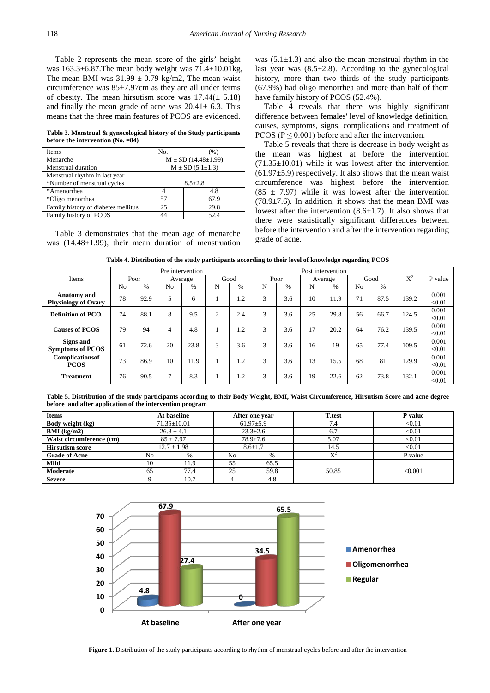Table 2 represents the mean score of the girls' height was  $163.3\pm 6.87$ . The mean body weight was  $71.4\pm 10.01$  kg, The mean BMI was  $31.99 \pm 0.79$  kg/m2, The mean waist circumference was 85±7.97cm as they are all under terms of obesity. The mean hirsutism score was  $17.44(\pm 5.18)$ and finally the mean grade of acne was  $20.41 \pm 6.3$ . This means that the three main features of PCOS are evidenced.

**Table 3. Menstrual & gynecological history of the Study participants before the intervention (No. =84)**

| Items                               | No.                           | $\frac{9}{6}$ |  |  |  |
|-------------------------------------|-------------------------------|---------------|--|--|--|
| Menarche                            | $M \pm SD$ (14.48 $\pm$ 1.99) |               |  |  |  |
| Menstrual duration                  | $M \pm SD$ (5.1 $\pm$ 1.3)    |               |  |  |  |
| Menstrual rhythm in last year       |                               |               |  |  |  |
| *Number of menstrual cycles         | $8.5 + 2.8$                   |               |  |  |  |
| *Amenorrhea                         |                               | 4.8           |  |  |  |
| *Oligo menorrhea                    | 57                            | 67.9          |  |  |  |
| Family history of diabetes mellitus | 25                            | 29.8          |  |  |  |
| Family history of PCOS              |                               | 52.4          |  |  |  |

Table 3 demonstrates that the mean age of menarche was (14.48±1.99), their mean duration of menstruation was  $(5.1\pm1.3)$  and also the mean menstrual rhythm in the last year was  $(8.5\pm 2.8)$ . According to the gynecological history, more than two thirds of the study participants (67.9%) had oligo menorrhea and more than half of them have family history of PCOS (52.4%).

Table 4 reveals that there was highly significant difference between females' level of knowledge definition, causes, symptoms, signs, complications and treatment of PCOS ( $P \le 0.001$ ) before and after the intervention.

Table 5 reveals that there is decrease in body weight as the mean was highest at before the intervention  $(71.35\pm10.01)$  while it was lowest after the intervention  $(61.97±5.9)$  respectively. It also shows that the mean waist circumference was highest before the intervention  $(85 \pm 7.97)$  while it was lowest after the intervention (78.9±7.6). In addition, it shows that the mean BMI was lowest after the intervention  $(8.6 \pm 1.7)$ . It also shows that there were statistically significant differences between before the intervention and after the intervention regarding grade of acne.

| Table 4. Distribution of the study participants according to their level of knowledge regarding PCOS |  |  |  |
|------------------------------------------------------------------------------------------------------|--|--|--|
|------------------------------------------------------------------------------------------------------|--|--|--|

|                            |                |               |                | Pre intervention |   |      |   |      | Post intervention |               |                |      |       |         |
|----------------------------|----------------|---------------|----------------|------------------|---|------|---|------|-------------------|---------------|----------------|------|-------|---------|
| Items                      |                | Poor          |                | Average          |   | Good |   | Poor |                   | Average       |                | Good |       | P value |
|                            | N <sub>0</sub> | $\frac{0}{0}$ | N <sub>0</sub> | $\%$             | N | $\%$ | N | $\%$ | N                 | $\frac{0}{0}$ | N <sub>0</sub> | $\%$ |       |         |
| <b>Anatomy</b> and         | 78             | 92.9          | 5              | 6                |   | 1.2  | 3 | 3.6  | 10                | 11.9          | 71             | 87.5 | 139.2 | 0.001   |
| <b>Physiology of Ovary</b> |                |               |                |                  |   |      |   |      |                   |               |                |      |       | < 0.01  |
| Definition of PCO.         | 74             | 88.1          | 8              | 9.5              | 2 | 2.4  | 3 | 3.6  | 25                | 29.8          | 56             | 66.7 | 124.5 | 0.001   |
|                            |                |               |                |                  |   |      |   |      |                   |               |                |      |       | < 0.01  |
| <b>Causes of PCOS</b>      | 79             | 94            | 4              | 4.8              |   | 1.2  | 3 | 3.6  | 17                | 20.2          | 64             | 76.2 | 139.5 | 0.001   |
|                            |                |               |                |                  |   |      |   |      |                   |               |                |      |       | < 0.01  |
| Signs and                  | 61             | 72.6          | 20             | 23.8             | 3 | 3.6  | 3 | 3.6  | 16                | 19            | 65             | 77.4 | 109.5 | 0.001   |
| <b>Symptoms of PCOS</b>    |                |               |                |                  |   |      |   |      |                   |               |                |      |       | < 0.01  |
| Complications of           | 73             | 86.9          | 10             | 11.9             |   | 1.2  | 3 | 3.6  | 13                | 15.5          | 68             | 81   | 129.9 | 0.001   |
| <b>PCOS</b>                |                |               |                |                  |   |      |   |      |                   |               |                |      |       | < 0.01  |
| <b>Treatment</b>           | 76             | 90.5          | $\overline{7}$ | 8.3              |   | 1.2  | 3 | 3.6  | 19                | 22.6          | 62             | 73.8 | 132.1 | 0.001   |
|                            |                |               |                |                  |   |      |   |      |                   |               |                |      |       | < 0.01  |

**Table 5. Distribution of the study participants according to their Body Weight, BMI, Waist Circumference, Hirsutism Score and acne degree before and after application of the intervention program**

| <b>Items</b>             |                                 | At baseline |                 | After one year | <b>T</b> .test | P value |     |        |
|--------------------------|---------------------------------|-------------|-----------------|----------------|----------------|---------|-----|--------|
| Body weight (kg)         | $71.35 \pm 10.01$               |             | $61.97 \pm 5.9$ |                |                |         | 7.4 | < 0.01 |
| BMI (kg/m2)              | $26.8 \pm 4.1$                  |             |                 |                | $23.3 \pm 2.6$ |         | 6.7 | < 0.01 |
| Waist circumference (cm) | $85 \pm 7.97$<br>$78.9 \pm 7.6$ |             |                 |                | 5.07           | < 0.01  |     |        |
| <b>Hirsutism score</b>   | $12.7 \pm 1.98$                 |             | $8.6 \pm 1.7$   |                | 14.5           | < 0.01  |     |        |
| <b>Grade of Acne</b>     | No                              | $\%$        | No<br>%         |                |                | P.value |     |        |
| Mild                     | 10                              | 11.9        | 55              | 65.5           |                |         |     |        |
| Moderate                 | 65                              | 77.4        | 25              | 59.8           | 50.85          | < 0.001 |     |        |
| <b>Severe</b>            |                                 | 10.7        | 4               | 4.8            |                |         |     |        |

<span id="page-4-0"></span>

**Figure 1.** Distribution of the study participants according to rhythm of menstrual cycles before and after the intervention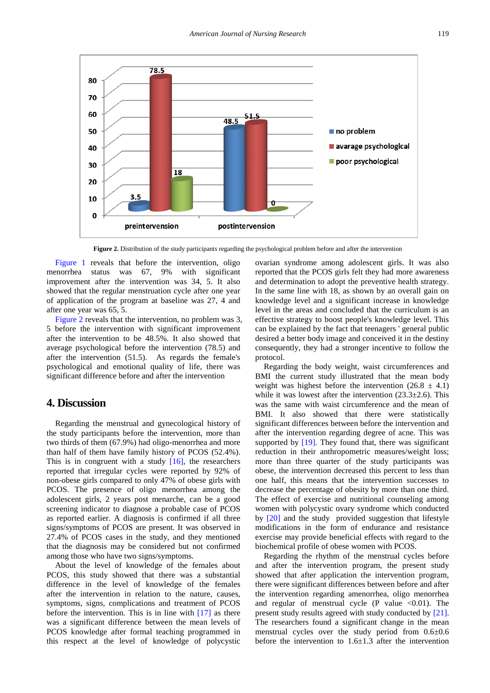<span id="page-5-0"></span>

**Figure 2.** Distribution of the study participants regarding the psychological problem before and after the intervention

[Figure 1](#page-4-0) reveals that before the intervention, oligo menorrhea status was 67, 9% with significant improvement after the intervention was 34, 5. It also showed that the regular menstruation cycle after one year of application of the program at baseline was 27, 4 and after one year was 65, 5.

[Figure 2](#page-5-0) reveals that the intervention, no problem was 3, 5 before the intervention with significant improvement after the intervention to be 48.5%. It also showed that average psychological before the intervention (78.5) and after the intervention (51.5). As regards the female's psychological and emotional quality of life, there was significant difference before and after the intervention

# **4. Discussion**

Regarding the menstrual and gynecological history of the study participants before the intervention, more than two thirds of them (67.9%) had oligo-menorrhea and more than half of them have family history of PCOS (52.4%). This is in congruent with a study  $[16]$ , the researchers reported that irregular cycles were reported by 92% of non-obese girls compared to only 47% of obese girls with PCOS. The presence of oligo menorrhea among the adolescent girls, 2 years post menarche, can be a good screening indicator to diagnose a probable case of PCOS as reported earlier. A diagnosis is confirmed if all three signs/symptoms of PCOS are present. It was observed in 27.4% of PCOS cases in the study, and they mentioned that the diagnosis may be considered but not confirmed among those who have two signs/symptoms.

About the level of knowledge of the females about PCOS, this study showed that there was a substantial difference in the level of knowledge of the females after the intervention in relation to the nature, causes, symptoms, signs, complications and treatment of PCOS before the intervention. This is in line with [\[17\]](#page-6-16) as there was a significant difference between the mean levels of PCOS knowledge after formal teaching programmed in this respect at the level of knowledge of polycystic

ovarian syndrome among adolescent girls. It was also reported that the PCOS girls felt they had more awareness and determination to adopt the preventive health strategy. In the same line with 18, as shown by an overall gain on knowledge level and a significant increase in knowledge level in the areas and concluded that the curriculum is an effective strategy to boost people's knowledge level. This can be explained by the fact that teenagers ' general public desired a better body image and conceived it in the destiny consequently, they had a stronger incentive to follow the protocol.

Regarding the body weight, waist circumferences and BMI the current study illustrated that the mean body weight was highest before the intervention  $(26.8 \pm 4.1)$ while it was lowest after the intervention  $(23.3\pm 2.6)$ . This was the same with waist circumference and the mean of BMI. It also showed that there were statistically significant differences between before the intervention and after the intervention regarding degree of acne. This was supported by  $[19]$ . They found that, there was significant reduction in their anthropometric measures/weight loss; more than three quarter of the study participants was obese, the intervention decreased this percent to less than one half, this means that the intervention successes to decrease the percentage of obesity by more than one third. The effect of exercise and nutritional counseling among women with polycystic ovary syndrome which conducted by [\[20\]](#page-7-0) and the study provided suggestion that lifestyle modifications in the form of endurance and resistance exercise may provide beneficial effects with regard to the biochemical profile of obese women with PCOS.

Regarding the rhythm of the menstrual cycles before and after the intervention program, the present study showed that after application the intervention program, there were significant differences between before and after the intervention regarding amenorrhea, oligo menorrhea and regular of menstrual cycle (P value  $\langle 0.01 \rangle$ ). The present study results agreed with study conducted by [\[21\].](#page-7-1) The researchers found a significant change in the mean menstrual cycles over the study period from 0.6±0.6 before the intervention to  $1.6 \pm 1.3$  after the intervention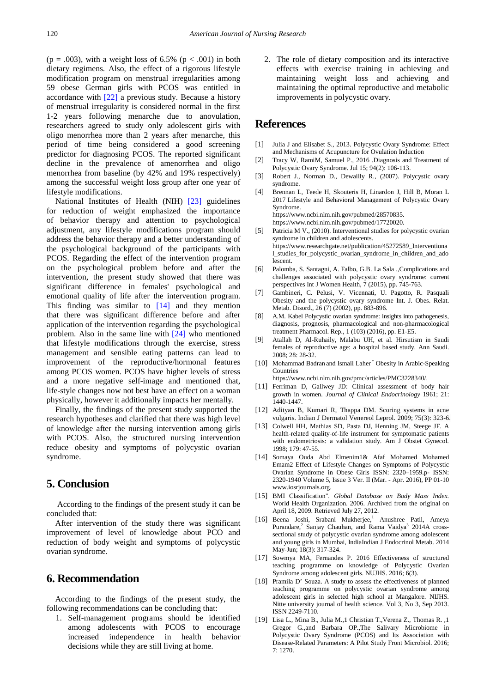(p = .003), with a weight loss of 6.5% (p < .001) in both dietary regimens. Also, the effect of a rigorous lifestyle modification program on menstrual irregularities among 59 obese German girls with PCOS was entitled in accordance with [\[22\]](#page-7-2) a previous study. Because a history of menstrual irregularity is considered normal in the first 1-2 years following menarche due to anovulation, researchers agreed to study only adolescent girls with oligo menorrhea more than 2 years after menarche, this period of time being considered a good screening predictor for diagnosing PCOS. The reported significant decline in the prevalence of amenorrhea and oligo menorrhea from baseline (by 42% and 19% respectively) among the successful weight loss group after one year of lifestyle modifications.

National Institutes of Health (NIH) [\[23\]](#page-7-3) guidelines for reduction of weight emphasized the importance of behavior therapy and attention to psychological adjustment, any lifestyle modifications program should address the behavior therapy and a better understanding of the psychological background of the participants with PCOS. Regarding the effect of the intervention program on the psychological problem before and after the intervention, the present study showed that there was significant difference in females' psychological and emotional quality of life after the intervention program. This finding was similar to [\[14\]](#page-6-13) and they mention that there was significant difference before and after application of the intervention regarding the psychological problem. Also in the same line with [\[24\]](#page-7-4) who mentioned that lifestyle modifications through the exercise, stress management and sensible eating patterns can lead to improvement of the reproductive/hormonal features among PCOS women. PCOS have higher levels of stress and a more negative self-image and mentioned that, life-style changes now not best have an effect on a woman physically, however it additionally impacts her mentally.

Finally, the findings of the present study supported the research hypotheses and clarified that there was high level of knowledge after the nursing intervention among girls with PCOS. Also, the structured nursing intervention reduce obesity and symptoms of polycystic ovarian syndrome.

# **5. Conclusion**

According to the findings of the present study it can be concluded that:

After intervention of the study there was significant improvement of level of knowledge about PCO and reduction of body weight and symptoms of polycystic ovarian syndrome.

# **6. Recommendation**

According to the findings of the present study, the following recommendations can be concluding that:

1. Self-management programs should be identified among adolescents with PCOS to encourage increased independence in health behavior decisions while they are still living at home.

2. The role of dietary composition and its interactive effects with exercise training in achieving and maintaining weight loss and achieving and maintaining the optimal reproductive and metabolic improvements in polycystic ovary.

# **References**

- <span id="page-6-0"></span>[1] Julia J and Elisabet S., 2013. Polycystic Ovary Syndrome: Effect and Mechanisms of Acupuncture for Ovulation Induction
- <span id="page-6-1"></span>[2] Tracy W, RamiM, Samuel P., 2016 .Diagnosis and Treatment of Polycystic Ovary Syndrome. Jul 15; 94(2): 106-113.
- <span id="page-6-2"></span>[3] Robert J., Norman D., Dewailly R., (2007). Polycystic ovary syndrome.
- <span id="page-6-3"></span>[4] Brennan L, Teede H, Skouteris H, Linardon J, Hill B, Moran L 2017 Lifestyle and Behavioral Management of Polycystic Ovary Syndrome. https://www.ncbi.nlm.nih.gov/pubmed/28570835.
- <span id="page-6-4"></span>https://www.ncbi.nlm.nih.gov/pubmed/17720020. [5] Patricia M V., (2010). Interventional studies for polycystic ovarian syndrome in children and adolescents. https://www.researchgate.net/publication/45272589\_Interventiona l\_studies\_for\_polycystic\_ovarian\_syndrome\_in\_children\_and\_ado lescent.
- <span id="page-6-5"></span>[6] Palomba, S. Santagni, A. Falbo, G.B. La Sala .,Complications and challenges associated with polycystic ovary syndrome: current perspectives Int J Women Health, 7 (2015), pp. 745-763.
- <span id="page-6-6"></span>[7] Gambineri, C. Pelusi, V. Vicennati, U. Pagotto, R. Pasquali Obesity and the polycystic ovary syndrome Int. J. Obes. Relat. Metab. Disord., 26 (7) (2002), pp. 883-896.
- <span id="page-6-7"></span>[8] A.M. Kabel Polycystic ovarian syndrome: insights into pathogenesis, diagnosis, prognosis, pharmacological and non-pharmacological treatment Pharmacol. Rep., 1 (103) (2016), pp. E1-E5.
- <span id="page-6-8"></span>[9] Atallah D, Al-Ruhaily, Malabu UH, et al. Hirsutism in Saudi females of reproductive age: a hospital based study. Ann Saudi. 2008; 28: 28-32.
- <span id="page-6-9"></span>[10] Mohammad Badran and Ismail Laher<sup>\*</sup> Obesity in Arabic-Speaking **Countries**

https://www.ncbi.nlm.nih.gov/pmc/articles/PMC3228340/.

- <span id="page-6-10"></span>[11] Ferriman D, Gallwey JD: Clinical assessment of body hair growth in women. *Journal of Clinical Endocrinology* 1961; 21: 1440-1447.
- <span id="page-6-11"></span>[12] Adityan B, Kumari R, Thappa DM. Scoring systems in acne vulgaris. Indian J Dermatol Venereol Leprol. 2009; 75(3): 323-6.
- <span id="page-6-12"></span>[13] Colwell HH, Mathias SD, Pasta DJ, Henning JM, Steege JF. A health-related quality-of-life instrument for symptomatic patients with endometriosis: a validation study. Am J Obstet Gynecol. 1998; 179: 47-55.
- <span id="page-6-13"></span>[14] Somaya Ouda Abd Elmenim1& Afaf Mohamed Mohamed Emam2 Effect of Lifestyle Changes on Symptoms of Polycystic Ovarian Syndrome in Obese Girls ISSN: 2320–1959.p- ISSN: 2320-1940 Volume 5, Issue 3 Ver. II (Mar. - Apr. 2016), PP 01-10 www.iosrjournals.org.
- <span id="page-6-14"></span>[15] BMI Classification". *Global Database on Body Mass Index*. World Health Organization. 2006. Archived from the original on April 18, 2009. Retrieved July 27, 2012.
- <span id="page-6-15"></span>[16] Beena Joshi, Srabani Mukherjee,<sup>1</sup> Anushree Patil, Ameya Purandare,<sup>2</sup> Sanjay Chauhan, and Rama Vaidya<sup>3</sup> 2014A crosssectional study of polycystic ovarian syndrome among adolescent and young girls in Mumbai, IndiaIndian J Endocrinol Metab. 2014 May-Jun; 18(3): 317-324.
- <span id="page-6-16"></span>[17] Sowmya MA, Fernandes P. 2016 Effectiveness of structured teaching programme on knowledge of Polycystic Ovarian Syndrome among adolescent girls. NUJHS. 2016; 6(3).
- [18] Pramila D' Souza. A study to assess the effectiveness of planned teaching programme on polycystic ovarian syndrome among adolescent girls in selected high school at Mangalore. NIJHS. Nitte university journal of health science. Vol 3, No 3, Sep 2013. ISSN 2249-7110.
- <span id="page-6-17"></span>[19] Lisa L., Mina B., Julia M.,1 Christian T.,Verena Z., Thomas R. ,1 Gregor G.,and Barbara OP.,The Salivary Microbiome in Polycystic Ovary Syndrome (PCOS) and Its Association with Disease-Related Parameters: A Pilot Study Front Microbiol. 2016; 7: 1270.